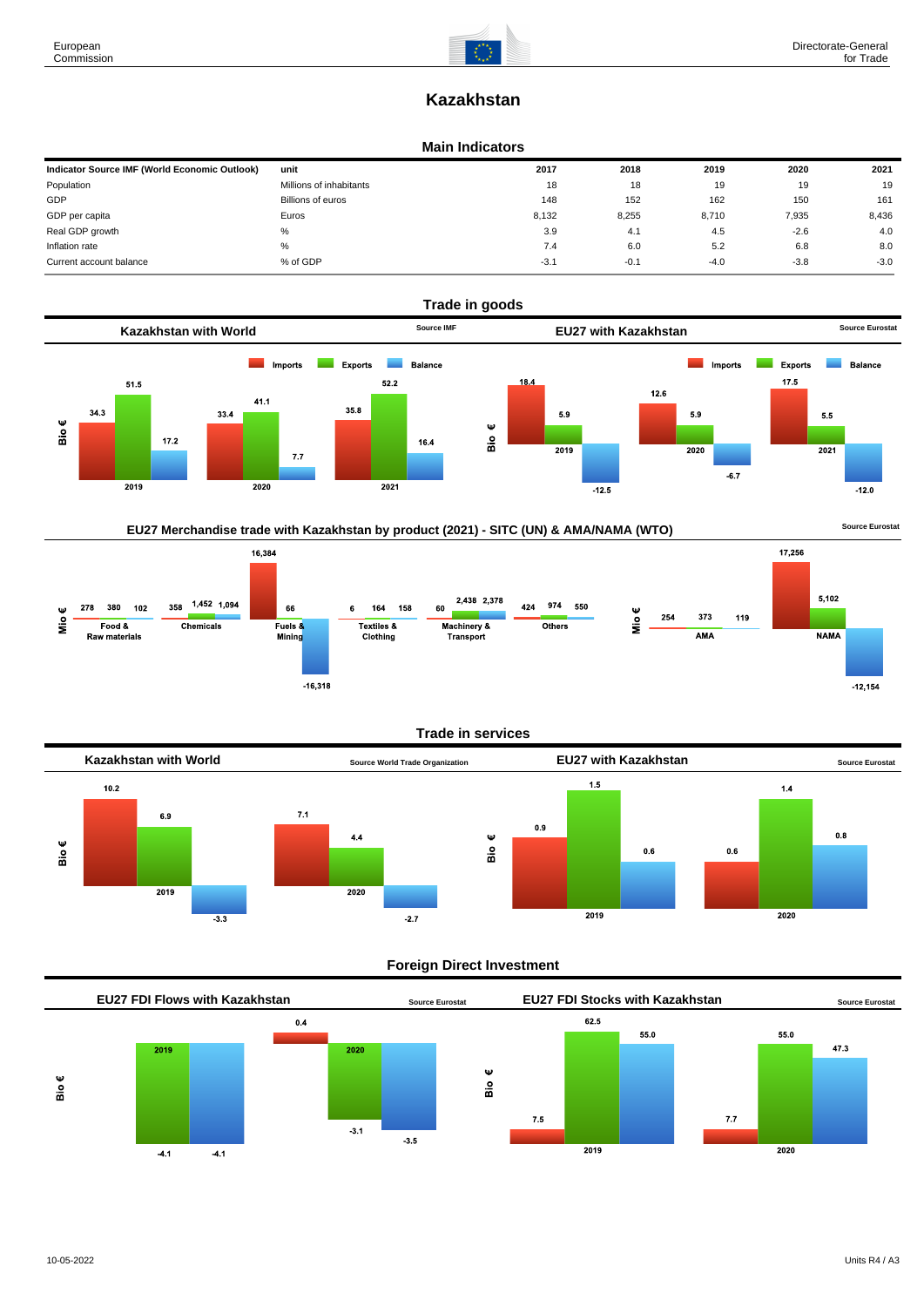# **Kazakhstan**

#### **Main Indicators**

| Indicator Source IMF (World Economic Outlook) | unit                    | 2017   | 2018   | 2019   | 2020   | 2021   |
|-----------------------------------------------|-------------------------|--------|--------|--------|--------|--------|
| Population                                    | Millions of inhabitants | 18     | 18     | 19     | 19     | 19     |
| GDP                                           | Billions of euros       | 148    | 152    | 162    | 150    | 161    |
| GDP per capita                                | Euros                   | 8,132  | 8,255  | 8,710  | 7,935  | 8,436  |
| Real GDP growth                               | %                       | 3.9    | 4.1    | 4.5    | $-2.6$ | 4.0    |
| Inflation rate                                | %                       | 7.4    | 6.0    | 5.2    | 6.8    | 8.0    |
| Current account balance                       | % of GDP                | $-3.1$ | $-0.1$ | $-4.0$ | $-3.8$ | $-3.0$ |



## EU27 Merchandise trade with Kazakhstan by product (2021) - SITC (UN) & AMA/NAMA (WTO) **Source Eurostat**



#### **Trade in services**



#### **Foreign Direct Investment**